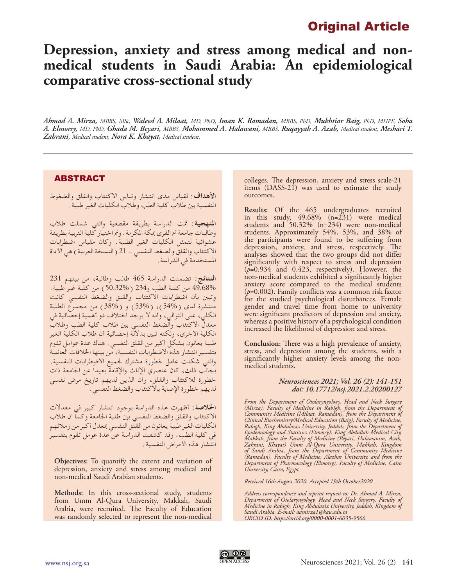# Original Article

# **Depression, anxiety and stress among medical and nonmedical students in Saudi Arabia: An epidemiological comparative cross-sectional study**

*Ahmad A. Mirza, MBBS, MSc, Waleed A. Milaat, MD, PhD, Iman K. Ramadan, MBBS, PhD, Mukhtiar Baig, PhD, MHPE, Soha A. Elmorsy, MD, PhD, Ghada M. Beyari, MBBS, Mohammed A. Halawani, MBBS, Ruqayyah A. Azab, Medical student, Meshari T. Zahrani, Medical student, Nora K. Khayat, Medical student.*

## ABSTRACT

**األهداف:** لقياس مدى انتشار وتباين االكتئاب والقلق والضغوط النفسية بني طالب كلية الطب وطالب الكليات الغير طبية.

**املنهجية:** متت الدراسة بطريقة مقطعية والتي شملت طالب وطالبات جامعة أم القرى مبكة املكرمة. ومت اختيار كلية التربية بطريقة عشوائية لتمثل الكليات الغير الطبية. وكان مقياس اضطرابات الاكتِّئاب والقلق والضغط النفسي – 21 ( النسخة العربية ) هي الأداة املستخدمة في الدراسة.

**النتائج:** تضمنت الدراسة 465 طالب وطالبة، من بينهم 231 49.68% من كلية الطب و234 )50.32%( من كلية غير طبية. وتبني بأن اضطرابات االكتئاب والقلق والضغط النفسي كانت منتشرة لدى )54%(، )53%( و )38%( من مجموع الطلبة الكلي، على التوالي، وأنه ال يوجد اختالف ذو أهمية إحصائية في معدل االكتئاب والضغط النفسي بني طالب كلية الطب وطالب الكلية األخرى، ولكنه تبني بداللة إحصائية أن طالب الكلية الغير طبية يعانون بشكل أكبر من القلق النفسي. هناك عدة عوامل تقوم بتفسير انتشار هذه االضطرابات النفسية، من بينها اخلالفات العائلية والتي شكلت عامل خطورة مشترك جلميع االضطرابات النفسية. بجانب ذلك، كان عنصري اإلناث واإلقامة بعيداً عن اجلامعة ذات خطورة لالكتئاب والقلق، وأن الذين لديهم تاريخ مرض نفسي لديهم خطورة اإلصابة باالكتئاب والضغط النفسي.

**اخلالصة:** أظهرت هذه الدراسة بوجود انتشار كبير في معدالت االكتئاب والقلق والضغط النفسي بني طلبة اجلامعة وكما ان طالب الكليات الغير طيبة يعانون من القلق النفسي مبعدل أكبر من زمالئهم في كلية الطب. وقد كشفت الدراسة عن عدة عومل تقوم بتفسير انتشار هذه الأمراض النفسية .

**Objectives:** To quantify the extent and variation of depression, anxiety and stress among medical and non-medical Saudi Arabian students.

**Methods:** In this cross-sectional study, students from Umm Al-Qura University, Makkah, Saudi Arabia, were recruited. The Faculty of Education was randomly selected to represent the non-medical

colleges. The depression, anxiety and stress scale-21 items (DASS-21) was used to estimate the study outcomes.

**Results:** Of the 465 undergraduates recruited in this study, 49.68% (n=231) were medical students and 50.32% (n=234) were non-medical students. Approximately 54%, 53%, and 38% of the participants were found to be suffering from depression, anxiety, and stress, respectively. The analyses showed that the two groups did not differ significantly with respect to stress and depression (*p*=0.934 and 0.423, respectively). However, the non-medical students exhibited a significantly higher anxiety score compared to the medical students  $(p=0.002)$ . Family conflicts was a common risk factor for the studied psychological disturbances. Female gender and travel time from home to university were significant predictors of depression and anxiety, whereas a positive history of a psychological condition increased the likelihood of depression and stress.

**Conclusion:** There was a high prevalence of anxiety, stress, and depression among the students, with a significantly higher anxiety levels among the nonmedical students.

#### *Neurosciences 2021; Vol. 26 (2): 141-151 doi: 10.17712/nsj.2021.2.20200127*

*From the Department of Otolaryngology, Head and Neck Surgery (Mirza), Faculty of Medicine in Rabigh, from the Department of Community Medicine (Milaat, Ramadan), from the Department of Clinical Biochemistry/Medical Education (Baig), Faculty of Medicine, Rabigh, King Abdulaziz University, Jeddah, from the Department of Epidemiology and Statistics (Elmorsy), King Abdullah Medical City, Makkah, from the Faculty of Medicine (Beyari, Halawanim, Azab, Zahrani, Khayat) Umm Al-Qura University, Makkah, Kingdom of Saudi Arabia, from the Department of Community Medicine (Ramadan), Faculty of Medicine, Alazhar University, and from the Department of Pharmacology (Elmorsy), Faculty of Medicine, Cairo University, Cairo, Egypt*

*Received 16th August 2020. Accepted 19th October2020.*

*Address correspondence and reprint request to: Dr. Ahmad A. Mirza, Department of Otolaryngology, Head and Neck Surgery, Faculty of Medicine in Rabigh, King Abdulaziz University, Jeddah, Kingdom of Saudi Arabia. E-mail: aamirza1@kau.edu.sa ORCID ID: https://orcid.org/0000-0001-6035-9566*

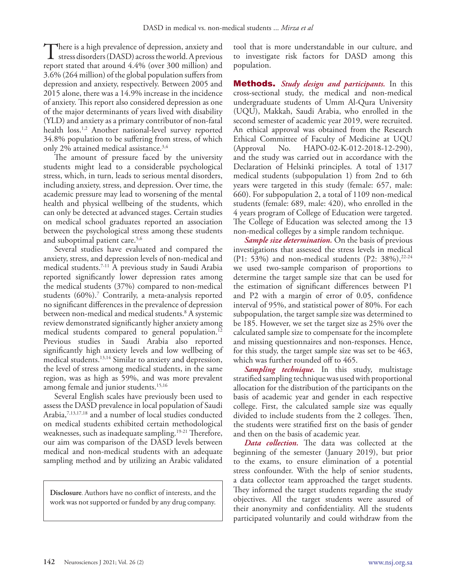There is a high prevalence of depression, anxiety and<br>stress disorders (DASD) across the world. A previous<br>report stated that around 4.40% (over 300 million) and report stated that around 4.4% (over 300 million) and 3.6% (264 million) of the global population suffers from depression and anxiety, respectively. Between 2005 and 2015 alone, there was a 14.9% increase in the incidence of anxiety. This report also considered depression as one of the major determinants of years lived with disability (YLD) and anxiety as a primary contributor of non-fatal health loss.<sup>1,2</sup> Another national-level survey reported 34.8% population to be suffering from stress, of which only 2% attained medical assistance.<sup>3,4</sup>

The amount of pressure faced by the university students might lead to a considerable psychological stress, which, in turn, leads to serious mental disorders, including anxiety, stress, and depression. Over time, the academic pressure may lead to worsening of the mental health and physical wellbeing of the students, which can only be detected at advanced stages. Certain studies on medical school graduates reported an association between the psychological stress among these students and suboptimal patient care.<sup>5,6</sup>

Several studies have evaluated and compared the anxiety, stress, and depression levels of non-medical and medical students.7-11 A previous study in Saudi Arabia reported significantly lower depression rates among the medical students (37%) compared to non-medical students (60%).7 Contrarily, a meta-analysis reported no significant differences in the prevalence of depression between non-medical and medical students.8 A systemic review demonstrated significantly higher anxiety among medical students compared to general population.<sup>12</sup> Previous studies in Saudi Arabia also reported significantly high anxiety levels and low wellbeing of medical students.<sup>13,14</sup> Similar to anxiety and depression, the level of stress among medical students, in the same region, was as high as 59%, and was more prevalent among female and junior students.<sup>15,16</sup>

Several English scales have previously been used to assess the DASD prevalence in local population of Saudi Arabia,7,13,17,18 and a number of local studies conducted on medical students exhibited certain methodological weaknesses, such as inadequate sampling.<sup>19-21</sup> Therefore, our aim was comparison of the DASD levels between medical and non-medical students with an adequate sampling method and by utilizing an Arabic validated

**Disclosure**. Authors have no conflict of interests, and the work was not supported or funded by any drug company. tool that is more understandable in our culture, and to investigate risk factors for DASD among this population.

Methods. *Study design and participants.* In this cross-sectional study, the medical and non-medical undergraduate students of Umm Al-Qura University (UQU), Makkah, Saudi Arabia, who enrolled in the second semester of academic year 2019, were recruited. An ethical approval was obtained from the Research Ethical Committee of Faculty of Medicine at UQU (Approval No. HAPO-02-K-012-2018-12-290), and the study was carried out in accordance with the Declaration of Helsinki principles. A total of 1317 medical students (subpopulation 1) from 2nd to 6th years were targeted in this study (female: 657, male: 660). For subpopulation 2, a total of 1109 non-medical students (female: 689, male: 420), who enrolled in the 4 years program of College of Education were targeted. The College of Education was selected among the 13 non-medical colleges by a simple random technique.

*Sample size determination.* On the basis of previous investigations that assessed the stress levels in medical (P1: 53%) and non-medical students (P2: 38%), $2^{2.24}$ we used two-sample comparison of proportions to determine the target sample size that can be used for the estimation of significant differences between P1 and P2 with a margin of error of 0.05, confidence interval of 95%, and statistical power of 80%. For each subpopulation, the target sample size was determined to be 185. However, we set the target size as 25% over the calculated sample size to compensate for the incomplete and missing questionnaires and non-responses. Hence, for this study, the target sample size was set to be 463, which was further rounded off to 465.

*Sampling technique.* In this study, multistage stratified sampling technique was used with proportional allocation for the distribution of the participants on the basis of academic year and gender in each respective college. First, the calculated sample size was equally divided to include students from the 2 colleges. Then, the students were stratified first on the basis of gender and then on the basis of academic year.

*Data collection.* The data was collected at the beginning of the semester (January 2019), but prior to the exams, to ensure elimination of a potential stress confounder. With the help of senior students, a data collector team approached the target students. They informed the target students regarding the study objectives. All the target students were assured of their anonymity and confidentiality. All the students participated voluntarily and could withdraw from the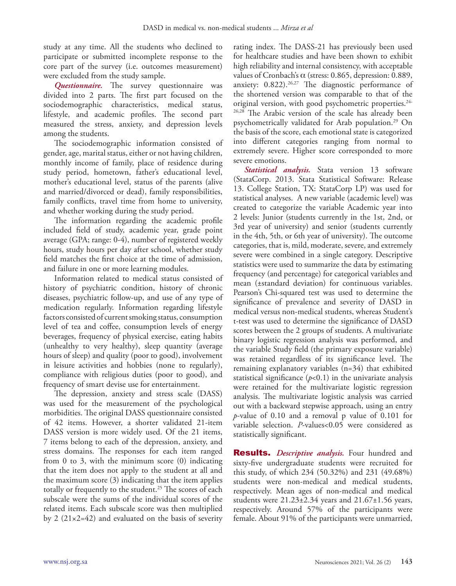study at any time. All the students who declined to participate or submitted incomplete response to the core part of the survey (i.e. outcomes measurement) were excluded from the study sample.

*Questionnaire.* The survey questionnaire was divided into 2 parts. The first part focused on the sociodemographic characteristics, medical status, lifestyle, and academic profiles. The second part measured the stress, anxiety, and depression levels among the students.

The sociodemographic information consisted of gender, age, marital status, either or not having children, monthly income of family, place of residence during study period, hometown, father's educational level, mother's educational level, status of the parents (alive and married/divorced or dead), family responsibilities, family conflicts, travel time from home to university, and whether working during the study period.

The information regarding the academic profile included field of study, academic year, grade point average (GPA; range: 0-4), number of registered weekly hours, study hours per day after school, whether study field matches the first choice at the time of admission, and failure in one or more learning modules.

Information related to medical status consisted of history of psychiatric condition, history of chronic diseases, psychiatric follow-up, and use of any type of medication regularly. Information regarding lifestyle factors consisted of current smoking status, consumption level of tea and coffee, consumption levels of energy beverages, frequency of physical exercise, eating habits (unhealthy to very healthy), sleep quantity (average hours of sleep) and quality (poor to good), involvement in leisure activities and hobbies (none to regularly), compliance with religious duties (poor to good), and frequency of smart devise use for entertainment.

The depression, anxiety and stress scale (DASS) was used for the measurement of the psychological morbidities. The original DASS questionnaire consisted of 42 items. However, a shorter validated 21-item DASS version is more widely used. Of the 21 items, 7 items belong to each of the depression, anxiety, and stress domains. The responses for each item ranged from 0 to 3, with the minimum score (0) indicating that the item does not apply to the student at all and the maximum score (3) indicating that the item applies totally or frequently to the student.<sup>25</sup> The scores of each subscale were the sums of the individual scores of the related items. Each subscale score was then multiplied by 2  $(21 \times 2 = 42)$  and evaluated on the basis of severity

rating index. The DASS-21 has previously been used for healthcare studies and have been shown to exhibit high reliability and internal consistency, with acceptable values of Cronbach's  $\alpha$  (stress: 0.865, depression: 0.889, anxiety:  $0.822$ ).<sup>26,27</sup> The diagnostic performance of the shortened version was comparable to that of the original version, with good psychometric properties.24- 26,28 The Arabic version of the scale has already been psychometrically validated for Arab population.<sup>29</sup> On the basis of the score, each emotional state is categorized into different categories ranging from normal to extremely severe. Higher score corresponded to more severe emotions.

*Statistical analysis.* Stata version 13 software (StataCorp. 2013. Stata Statistical Software: Release 13. College Station, TX: StataCorp LP) was used for statistical analyses. A new variable (academic level) was created to categorize the variable Academic year into 2 levels: Junior (students currently in the 1st, 2nd, or 3rd year of university) and senior (students currently in the 4th, 5th, or 6th year of university). The outcome categories, that is, mild, moderate, severe, and extremely severe were combined in a single category. Descriptive statistics were used to summarize the data by estimating frequency (and percentage) for categorical variables and mean (±standard deviation) for continuous variables. Pearson's Chi-squared test was used to determine the significance of prevalence and severity of DASD in medical versus non-medical students, whereas Student's t-test was used to determine the significance of DASD scores between the 2 groups of students. A multivariate binary logistic regression analysis was performed, and the variable Study field (the primary exposure variable) was retained regardless of its significance level. The remaining explanatory variables (n=34) that exhibited statistical significance  $(p<0.1)$  in the univariate analysis were retained for the multivariate logistic regression analysis. The multivariate logistic analysis was carried out with a backward stepwise approach, using an entry *p*-value of 0.10 and a removal p value of 0.101 for variable selection. *P*-values<0.05 were considered as statistically significant.

Results. *Descriptive analysis.* Four hundred and sixty-five undergraduate students were recruited for this study, of which 234 (50.32%) and 231 (49.68%) students were non-medical and medical students, respectively. Mean ages of non-medical and medical students were  $21.23\pm2.34$  years and  $21.67\pm1.56$  years, respectively. Around 57% of the participants were female. About 91% of the participants were unmarried,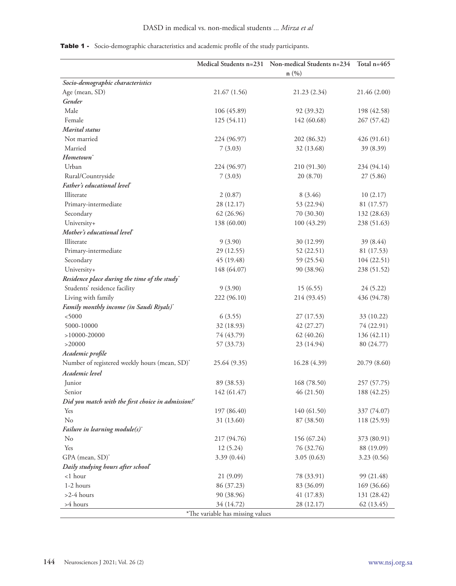|                                                    |                                  | Medical Students n=231 Non-medical Students n=234<br>n(%) | Total $n=465$ |
|----------------------------------------------------|----------------------------------|-----------------------------------------------------------|---------------|
| Socio-demographic characteristics                  |                                  |                                                           |               |
| Age (mean, SD)                                     | 21.67 (1.56)                     | 21.23 (2.34)                                              | 21.46 (2.00)  |
| Gender                                             |                                  |                                                           |               |
| Male                                               | 106 (45.89)                      | 92 (39.32)                                                | 198 (42.58)   |
| Female                                             | 125 (54.11)                      | 142 (60.68)                                               | 267 (57.42)   |
| Marital status                                     |                                  |                                                           |               |
| Not married                                        | 224 (96.97)                      | 202 (86.32)                                               | 426 (91.61)   |
| Married                                            | 7(3.03)                          | 32 (13.68)                                                | 39 (8.39)     |
| Hometown <sup>*</sup>                              |                                  |                                                           |               |
| Urban                                              | 224 (96.97)                      | 210 (91.30)                                               | 234 (94.14)   |
| Rural/Countryside                                  | 7(3.03)                          | 20 (8.70)                                                 | 27 (5.86)     |
| Father's educational level                         |                                  |                                                           |               |
| Illiterate                                         | 2(0.87)                          | 8(3.46)                                                   | 10(2.17)      |
| Primary-intermediate                               | 28 (12.17)                       | 53 (22.94)                                                | 81 (17.57)    |
| Secondary                                          | 62 (26.96)                       | 70 (30.30)                                                | 132 (28.63)   |
| University+                                        | 138 (60.00)                      | 100 (43.29)                                               | 238 (51.63)   |
| Mother's educational level*                        |                                  |                                                           |               |
| Illiterate                                         | 9(3.90)                          | 30 (12.99)                                                | 39(8.44)      |
| Primary-intermediate                               | 29 (12.55)                       | 52 (22.51)                                                | 81 (17.53)    |
| Secondary                                          | 45 (19.48)                       | 59 (25.54)                                                | 104 (22.51)   |
| University+                                        | 148 (64.07)                      | 90 (38.96)                                                | 238 (51.52)   |
| Residence place during the time of the study*      |                                  |                                                           |               |
| Students' residence facility                       | 9(3.90)                          | 15(6.55)                                                  | 24 (5.22)     |
| Living with family                                 | 222 (96.10)                      | 214 (93.45)                                               | 436 (94.78)   |
| Family monthly income (in Saudi Riyals)*           |                                  |                                                           |               |
| < 5000                                             | 6(3.55)                          | 27 (17.53)                                                | 33 (10.22)    |
| 5000-10000                                         | 32 (18.93)                       | 42 (27.27)                                                | 74 (22.91)    |
| $>10000-20000$                                     | 74 (43.79)                       | 62 (40.26)                                                | 136 (42.11)   |
| >20000                                             | 57 (33.73)                       | 23 (14.94)                                                | 80 $(24.77)$  |
| Academic profile                                   |                                  |                                                           |               |
| Number of registered weekly hours (mean, SD)*      | 25.64 (9.35)                     | 16.28 (4.39)                                              | 20.79(8.60)   |
| Academic level                                     |                                  |                                                           |               |
| Junior                                             | 89 (38.53)                       | 168 (78.50)                                               | 257 (57.75)   |
| Senior                                             | 142 (61.47)                      | 46 (21.50)                                                | 188 (42.25)   |
| Did you match with the first choice in admission?* |                                  |                                                           |               |
| Yes                                                | 197 (86.40)                      | 140 (61.50)                                               | 337 (74.07)   |
| No                                                 | 31 (13.60)                       | 87 (38.50)                                                | 118 (25.93)   |
| Failure in learning module $(s)^*$                 |                                  |                                                           |               |
| No                                                 | 217 (94.76)                      | 156 (67.24)                                               | 373 (80.91)   |
| Yes                                                | 12(5.24)                         | 76 (32.76)                                                | 88 (19.09)    |
| GPA (mean, SD)*                                    | 3.39(0.44)                       | 3.05(0.63)                                                | 3.23(0.56)    |
| Daily studying hours after school*                 |                                  |                                                           |               |
| $<$ 1 hour                                         | 21(9.09)                         | 78 (33.91)                                                | 99 (21.48)    |
| 1-2 hours                                          | 86 (37.23)                       | 83 (36.09)                                                | 169 (36.66)   |
| $>2-4$ hours                                       | 90 (38.96)                       | 41 (17.83)                                                | 131 (28.42)   |
| >4 hours                                           | 34 (14.72)                       | 28 (12.17)                                                | 62 (13.45)    |
|                                                    | *The variable has missing values |                                                           |               |

### Table 1 - Socio-demographic characteristics and academic profile of the study participants.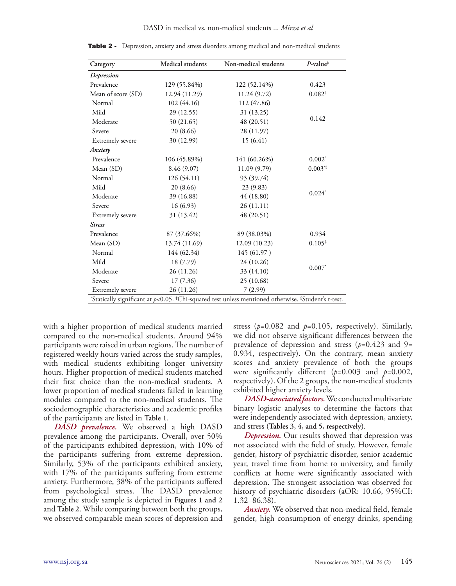| Category                                                                                                           | Medical students | Non-medical students | $P$ -value <sup>#</sup> |  |  |  |  |
|--------------------------------------------------------------------------------------------------------------------|------------------|----------------------|-------------------------|--|--|--|--|
| Depression                                                                                                         |                  |                      |                         |  |  |  |  |
| Prevalence                                                                                                         | 129 (55.84%)     | 122 (52.14%)         | 0.423                   |  |  |  |  |
| Mean of score (SD)                                                                                                 | 12.94 (11.29)    | 11.24 (9.72)         | 0.082                   |  |  |  |  |
| Normal                                                                                                             | 102 (44.16)      | 112 (47.86)          |                         |  |  |  |  |
| Mild                                                                                                               | 29 (12.55)       | 31 (13.25)           |                         |  |  |  |  |
| Moderate                                                                                                           | 50 (21.65)       | 48 (20.51)           | 0.142                   |  |  |  |  |
| Severe                                                                                                             | 20 (8.66)        | 28 (11.97)           |                         |  |  |  |  |
| <b>Extremely</b> severe                                                                                            | 30 (12.99)       | 15(6.41)             |                         |  |  |  |  |
| Anxiety                                                                                                            |                  |                      |                         |  |  |  |  |
| Prevalence                                                                                                         | 106 (45.89%)     | 141 (60.26%)         | $0.002^*$               |  |  |  |  |
| Mean (SD)                                                                                                          | 8.46 (9.07)      | 11.09 (9.79)         | $0.003^{*$              |  |  |  |  |
| Normal                                                                                                             | 126 (54.11)      | 93 (39.74)           |                         |  |  |  |  |
| Mild                                                                                                               | 20 (8.66)        | 23(9.83)             |                         |  |  |  |  |
| Moderate                                                                                                           | 39 (16.88)       | 44 (18.80)           | $0.024*$                |  |  |  |  |
| Severe                                                                                                             | 16(6.93)         | 26(11.11)            |                         |  |  |  |  |
| Extremely severe                                                                                                   | 31 (13.42)       | 48 (20.51)           |                         |  |  |  |  |
| <b>Stress</b>                                                                                                      |                  |                      |                         |  |  |  |  |
| Prevalence                                                                                                         | 87 (37.66%)      | 89 (38.03%)          | 0.934                   |  |  |  |  |
| Mean (SD)                                                                                                          | 13.74 (11.69)    | 12.09 (10.23)        | $0.105^{\circ}$         |  |  |  |  |
| Normal                                                                                                             | 144 (62.34)      | 145 (61.97)          |                         |  |  |  |  |
| Mild                                                                                                               | 18 (7.79)        | 24 (10.26)           |                         |  |  |  |  |
| Moderate                                                                                                           | 26 (11.26)       | 33 (14.10)           | $0.007*$                |  |  |  |  |
| Severe                                                                                                             | 17 (7.36)        | 25 (10.68)           |                         |  |  |  |  |
| <b>Extremely severe</b>                                                                                            | 26 (11.26)       | 7(2.99)              |                         |  |  |  |  |
| Statically significant at $p<0.05$ . *Chi-squared test unless mentioned otherwise. <sup>\$</sup> Student's t-test. |                  |                      |                         |  |  |  |  |

Table 2 - Depression, anxiety and stress disorders among medical and non-medical students

with a higher proportion of medical students married compared to the non-medical students. Around 94% participants were raised in urban regions. The number of registered weekly hours varied across the study samples, with medical students exhibiting longer university hours. Higher proportion of medical students matched their first choice than the non-medical students. A lower proportion of medical students failed in learning modules compared to the non-medical students. The sociodemographic characteristics and academic profiles of the participants are listed in **Table 1**.

*DASD prevalence.* We observed a high DASD prevalence among the participants. Overall, over 50% of the participants exhibited depression, with 10% of the participants suffering from extreme depression. Similarly, 53% of the participants exhibited anxiety, with 17% of the participants suffering from extreme anxiety. Furthermore, 38% of the participants suffered from psychological stress. The DASD prevalence among the study sample is depicted in **Figures 1 and 2** and **Table 2**. While comparing between both the groups, we observed comparable mean scores of depression and

stress ( $p=0.082$  and  $p=0.105$ , respectively). Similarly, we did not observe significant differences between the prevalence of depression and stress (*p*=0.423 and 9= 0.934, respectively). On the contrary, mean anxiety scores and anxiety prevalence of both the groups were significantly different (*p*=0.003 and *p*=0.002, respectively). Of the 2 groups, the non-medical students exhibited higher anxiety levels.

*DASD-associated factors.* We conducted multivariate binary logistic analyses to determine the factors that were independently associated with depression, anxiety, and stress **(Tables 3, 4, and 5, respectively)**.

*Depression.* Our results showed that depression was not associated with the field of study. However, female gender, history of psychiatric disorder, senior academic year, travel time from home to university, and family conflicts at home were significantly associated with depression. The strongest association was observed for history of psychiatric disorders (aOR: 10.66, 95%CI: 1.32–86.38).

*Anxiety.* We observed that non-medical field, female gender, high consumption of energy drinks, spending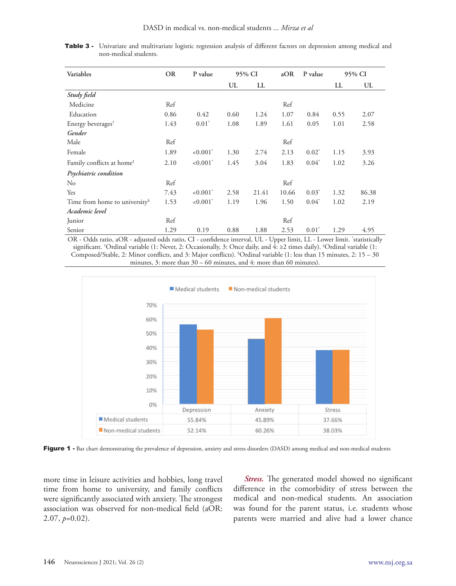| Variables                                 | <b>OR</b> | P value                 | 95% CI |       | aOR   | P value  | 95% CI |       |
|-------------------------------------------|-----------|-------------------------|--------|-------|-------|----------|--------|-------|
|                                           |           |                         | UL     | LL    |       |          | LL     | UL    |
| Study field                               |           |                         |        |       |       |          |        |       |
| Medicine                                  | Ref       |                         |        |       | Ref   |          |        |       |
| Education                                 | 0.86      | 0.42                    | 0.60   | 1.24  | 1.07  | 0.84     | 0.55   | 2.07  |
| Energy beverages <sup>†</sup>             | 1.43      | $0.01^*$                | 1.08   | 1.89  | 1.61  | 0.05     | 1.01   | 2.58  |
| Gender                                    |           |                         |        |       |       |          |        |       |
| Male                                      | Ref       |                         |        |       | Ref   |          |        |       |
| Female                                    | 1.89      | $< 0.001$ <sup>*</sup>  | 1.30   | 2.74  | 2.13  | $0.02^*$ | 1.15   | 3.93  |
| Family conflicts at home <sup>#</sup>     | 2.10      | $< 0.001$ <sup>*</sup>  | 1.45   | 3.04  | 1.83  | $0.04^*$ | 1.02   | 3.26  |
| Psychiatric condition                     |           |                         |        |       |       |          |        |       |
| $\rm No$                                  | Ref       |                         |        |       | Ref   |          |        |       |
| Yes                                       | 7.43      | $< 0.001$ <sup>*</sup>  | 2.58   | 21.41 | 10.66 | $0.03^*$ | 1.32   | 86.38 |
| Time from home to university <sup>§</sup> | 1.53      | ${<}0.001$ <sup>*</sup> | 1.19   | 1.96  | 1.50  | $0.04^*$ | 1.02   | 2.19  |
| Academic level                            |           |                         |        |       |       |          |        |       |
| Junior                                    | Ref       |                         |        |       | Ref   |          |        |       |
| Senior                                    | 1.29      | 0.19                    | 0.88   | 1.88  | 2.53  | $0.01^*$ | 1.29   | 4.95  |

Table 3 - Univariate and multivariate logistic regression analysis of different factors on depression among medical and non-medical students.

OR - Odds ratio, aOR - adjusted odds ratio, CI - confidence interval, UL - Upper limit, LL - Lower limit. \* statistically significant. † Ordinal variable (1: Never, 2: Occasionally, 3: Once daily, and 4: ≥2 times daily). ‡ Ordinal variable (1: Composed/Stable, 2: Minor conflicts, and 3: Major conflicts). § Ordinal variable (1: less than 15 minutes, 2: 15 – 30 minutes, 3: more than 30 – 60 minutes, and 4: more than 60 minutes).



Figure 1 - Bar chart demonstrating the prevalence of depression, anxiety and stress disorders (DASD) among medical and non-medical students

more time in leisure activities and hobbies, long travel time from home to university, and family conflicts were significantly associated with anxiety. The strongest association was observed for non-medical field (aOR: 2.07, *p*=0.02).

*Stress.* The generated model showed no significant difference in the comorbidity of stress between the medical and non-medical students. An association was found for the parent status, i.e. students whose parents were married and alive had a lower chance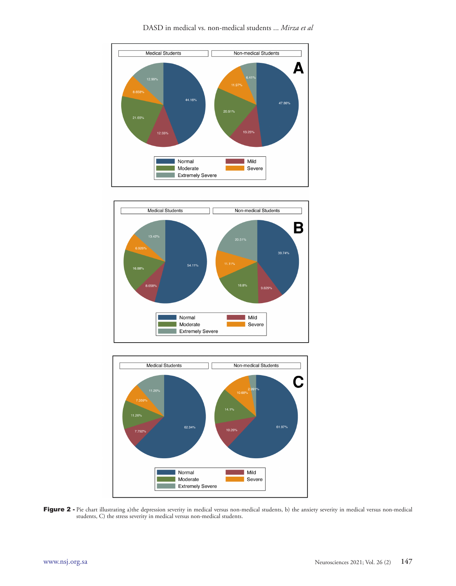





Figure 2 - Pie chart illustrating a)the depression severity in medical versus non-medical students, b) the anxiety severity in medical versus non-medical students, C) the stress severity in medical versus non-medical students.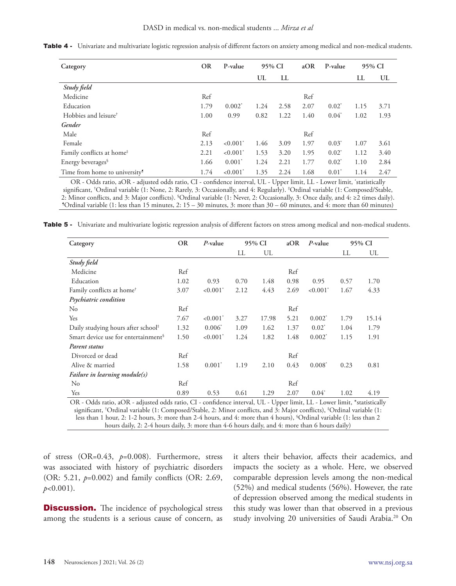| Category                                  | <b>OR</b> | P-value                   | 95% CI |      | aOR  | P-value  | 95% CI |      |
|-------------------------------------------|-----------|---------------------------|--------|------|------|----------|--------|------|
|                                           |           |                           | UL     | LL   |      |          | LL     | UL   |
| Study field                               |           |                           |        |      |      |          |        |      |
| Medicine                                  | Ref       |                           |        |      | Ref  |          |        |      |
| Education                                 | 1.79      | $0.002^*$                 | 1.24   | 2.58 | 2.07 | $0.02^*$ | 1.15   | 3.71 |
| Hobbies and leisure <sup>†</sup>          | 1.00      | 0.99                      | 0.82   | 1.22 | 1.40 | $0.04^*$ | 1.02   | 1.93 |
| Gender                                    |           |                           |        |      |      |          |        |      |
| Male                                      | Ref       |                           |        |      | Ref  |          |        |      |
| Female                                    | 2.13      | $\leq 0.001$ <sup>*</sup> | 1.46   | 3.09 | 1.97 | $0.03^*$ | 1.07   | 3.61 |
| Family conflicts at home <sup>#</sup>     | 2.21      | $< 0.001$ <sup>*</sup>    | 1.53   | 3.20 | 1.95 | $0.02^*$ | 1.12   | 3.40 |
| Energy beverages <sup>§</sup>             | 1.66      | $0.001^*$                 | 1.24   | 2.21 | 1.77 | $0.02^*$ | 1.10   | 2.84 |
| Time from home to university <sup>9</sup> | 1.74      | $< 0.001$ <sup>*</sup>    | 1.35   | 2.24 | 1.68 | $0.01^*$ | 1.14   | 2.47 |

Table 4 - Univariate and multivariate logistic regression analysis of different factors on anxiety among medical and non-medical students.

OR - Odds ratio, aOR - adjusted odds ratio, CI - confidence interval, UL - Upper limit, LL - Lower limit, \* statistically significant, † Ordinal variable (1: None, 2: Rarely, 3: Occasionally, and 4: Regularly). ‡ Ordinal variable (1: Composed/Stable, 2: Minor conflicts, and 3: Major conflicts). § Ordinal variable (1: Never, 2: Occasionally, 3: Once daily, and 4: ≥2 times daily). ¶  $\cdot$ Ordinal variable (1: less than 15 minutes, 2:  $15 - 30$  minutes, 3: more than  $30 - 60$  minutes, and 4: more than 60 minutes)

Table 5 - Univariate and multivariate logistic regression analysis of different factors on stress among medical and non-medical students.

| Category                                                                                                                     | <b>OR</b> | $P$ -value             | 95% CI |       | aOR<br>P-value |                        | 95% CI |       |  |
|------------------------------------------------------------------------------------------------------------------------------|-----------|------------------------|--------|-------|----------------|------------------------|--------|-------|--|
|                                                                                                                              |           |                        | LL     | UL    |                |                        | LL     | UL    |  |
| Study field                                                                                                                  |           |                        |        |       |                |                        |        |       |  |
| Medicine                                                                                                                     | Ref       |                        |        |       | Ref            |                        |        |       |  |
| Education                                                                                                                    | 1.02      | 0.93                   | 0.70   | 1.48  | 0.98           | 0.95                   | 0.57   | 1.70  |  |
| Family conflicts at home <sup>†</sup>                                                                                        | 3.07      | $< 0.001$ <sup>*</sup> | 2.12   | 4.43  | 2.69           | $< 0.001$ <sup>*</sup> | 1.67   | 4.33  |  |
| Psychiatric condition                                                                                                        |           |                        |        |       |                |                        |        |       |  |
| N <sub>0</sub>                                                                                                               | Ref       |                        |        |       | Ref            |                        |        |       |  |
| Yes                                                                                                                          | 7.67      | $< 0.001$ <sup>*</sup> | 3.27   | 17.98 | 5.21           | $0.002^*$              | 1.79   | 15.14 |  |
| Daily studying hours after school#                                                                                           | 1.32      | $0.006^*$              | 1.09   | 1.62  | 1.37           | $0.02^*$               | 1.04   | 1.79  |  |
| Smart device use for entertainment <sup>§</sup>                                                                              | 1.50      | $< 0.001$ <sup>*</sup> | 1.24   | 1.82  | 1.48           | $0.002^*$              | 1.15   | 1.91  |  |
| Parent status                                                                                                                |           |                        |        |       |                |                        |        |       |  |
| Divorced or dead                                                                                                             | Ref       |                        |        |       | Ref            |                        |        |       |  |
| Alive & married                                                                                                              | 1.58      | $0.001^*$              | 1.19   | 2.10  | 0.43           | $0.008^*$              | 0.23   | 0.81  |  |
| Failure in learning module(s)                                                                                                |           |                        |        |       |                |                        |        |       |  |
| No                                                                                                                           | Ref       |                        |        |       | Ref            |                        |        |       |  |
| Yes                                                                                                                          | 0.89      | 0.53                   | 0.61   | 1.29  | 2.07           | $0.04*$                | 1.02   | 4.19  |  |
| $OR_2$ Odds ratio 20R - adjusted odds ratio CL-confidence interval $III_7$ . Unper limit $II_7$ , Lower limit *statistically |           |                        |        |       |                |                        |        |       |  |

ratio, aOR - adjusted odds ratio, CI - confidence interval, UL - Upper limit, LL - Lower limit, \*statistically significant, † Ordinal variable (1: Composed/Stable, 2: Minor conflicts, and 3: Major conflicts), ‡ Ordinal variable (1: less than 1 hour, 2: 1-2 hours, 3: more than 2-4 hours, and 4: more than 4 hours), § Ordinal variable (1: less than 2 hours daily, 2: 2-4 hours daily, 3: more than 4-6 hours daily, and 4: more than 6 hours daily)

of stress (OR=0.43, *p*=0.008). Furthermore, stress was associated with history of psychiatric disorders (OR: 5.21, *p*=0.002) and family conflicts (OR: 2.69, *p*<0.001).

**Discussion.** The incidence of psychological stress among the students is a serious cause of concern, as it alters their behavior, affects their academics, and impacts the society as a whole. Here, we observed comparable depression levels among the non-medical (52%) and medical students (56%). However, the rate of depression observed among the medical students in this study was lower than that observed in a previous study involving 20 universities of Saudi Arabia.20 On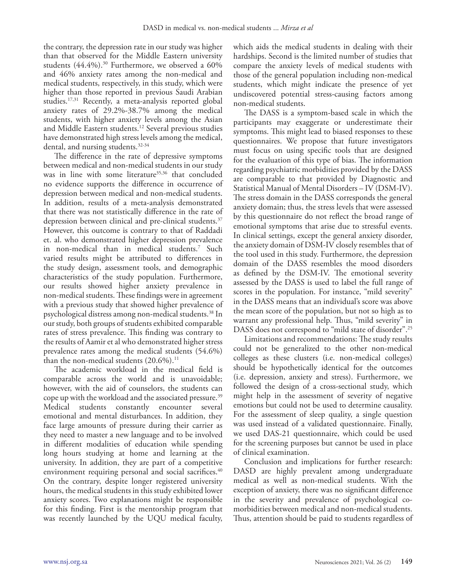the contrary, the depression rate in our study was higher than that observed for the Middle Eastern university students  $(44.4\%)$ .<sup>30</sup> Furthermore, we observed a  $60\%$ and 46% anxiety rates among the non-medical and medical students, respectively, in this study, which were higher than those reported in previous Saudi Arabian studies.17,31 Recently, a meta-analysis reported global anxiety rates of 29.2%-38.7% among the medical students, with higher anxiety levels among the Asian and Middle Eastern students.12 Several previous studies have demonstrated high stress levels among the medical, dental, and nursing students.32-34

The difference in the rate of depressive symptoms between medical and non-medical students in our study was in line with some literature<sup>35,36</sup> that concluded no evidence supports the difference in occurrence of depression between medical and non-medical students. In addition, results of a meta-analysis demonstrated that there was not statistically difference in the rate of depression between clinical and pre-clinical students.<sup>37</sup> However, this outcome is contrary to that of Raddadi et. al. who demonstrated higher depression prevalence in non-medical than in medical students.7 Such varied results might be attributed to differences in the study design, assessment tools, and demographic characteristics of the study population. Furthermore, our results showed higher anxiety prevalence in non-medical students. These findings were in agreement with a previous study that showed higher prevalence of psychological distress among non-medical students.<sup>38</sup> In our study, both groups of students exhibited comparable rates of stress prevalence. This finding was contrary to the results of Aamir et al who demonstrated higher stress prevalence rates among the medical students (54.6%) than the non-medical students  $(20.6\%)$ .<sup>11</sup>

The academic workload in the medical field is comparable across the world and is unavoidable; however, with the aid of counselors, the students can cope up with the workload and the associated pressure.39 Medical students constantly encounter several emotional and mental disturbances. In addition, they face large amounts of pressure during their carrier as they need to master a new language and to be involved in different modalities of education while spending long hours studying at home and learning at the university. In addition, they are part of a competitive environment requiring personal and social sacrifices.<sup>40</sup> On the contrary, despite longer registered university hours, the medical students in this study exhibited lower anxiety scores. Two explanations might be responsible for this finding. First is the mentorship program that was recently launched by the UQU medical faculty,

which aids the medical students in dealing with their hardships. Second is the limited number of studies that compare the anxiety levels of medical students with those of the general population including non-medical students, which might indicate the presence of yet undiscovered potential stress-causing factors among non-medical students.

The DASS is a symptom-based scale in which the participants may exaggerate or underestimate their symptoms. This might lead to biased responses to these questionnaires. We propose that future investigators must focus on using specific tools that are designed for the evaluation of this type of bias. The information regarding psychiatric morbidities provided by the DASS are comparable to that provided by Diagnostic and Statistical Manual of Mental Disorders – IV (DSM-IV). The stress domain in the DASS corresponds the general anxiety domain; thus, the stress levels that were assessed by this questionnaire do not reflect the broad range of emotional symptoms that arise due to stressful events. In clinical settings, except the general anxiety disorder, the anxiety domain of DSM-IV closely resembles that of the tool used in this study. Furthermore, the depression domain of the DASS resembles the mood disorders as defined by the DSM-IV. The emotional severity assessed by the DASS is used to label the full range of scores in the population. For instance, "mild severity" in the DASS means that an individual's score was above the mean score of the population, but not so high as to warrant any professional help. Thus, "mild severity" in DASS does not correspond to "mild state of disorder".25

Limitations and recommendations: The study results could not be generalized to the other non-medical colleges as these clusters (i.e. non-medical colleges) should be hypothetically identical for the outcomes (i.e. depression, anxiety and stress). Furthermore, we followed the design of a cross-sectional study, which might help in the assessment of severity of negative emotions but could not be used to determine causality. For the assessment of sleep quality, a single question was used instead of a validated questionnaire. Finally, we used DAS-21 questionnaire, which could be used for the screening purposes but cannot be used in place of clinical examination.

Conclusion and implications for further research: DASD are highly prevalent among undergraduate medical as well as non-medical students. With the exception of anxiety, there was no significant difference in the severity and prevalence of psychological comorbidities between medical and non-medical students. Thus, attention should be paid to students regardless of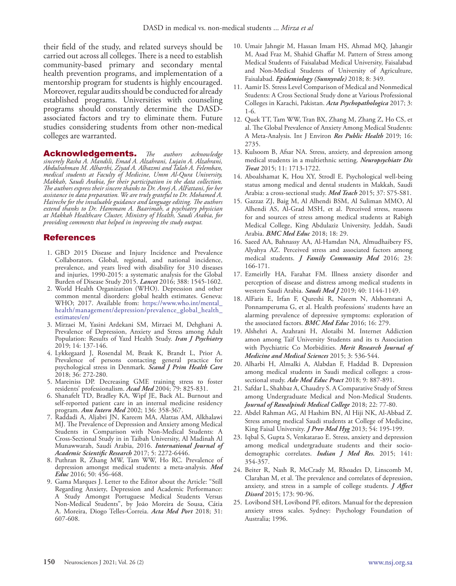their field of the study, and related surveys should be carried out across all colleges. There is a need to establish community-based primary and secondary mental health prevention programs, and implementation of a mentorship program for students is highly encouraged. Moreover, regular audits should be conducted for already established programs. Universities with counseling programs should constantly determine the DASDassociated factors and try to eliminate them. Future studies considering students from other non-medical colleges are warranted.

Acknowledgements. *The authors acknowledge sincerely Rasha A. Mandili, Emad A. Alzahrani, Lujain A. Alzahrani, Abdulrahman M. Alharthi, Ziyad A. Alhazmi and Talah A. Felemban, medical students at Faculty of Medicine, Umm Al-Qura University, Makkah, Saudi Arabia, for their participation in the data collection. The authors express their sincere thanks to Dr. Areej A. AlFattani, for her assistance in data preparation. We are truly grateful to Dr. Mohamed A. Haireche for the invaluable guidance and language editing. The authors extend thanks to Dr. Hammam A. Baarimah, a psychiatry physician at Makkah Healthcare Cluster, Ministry of Health, Saudi Arabia, for providing comments that helped in improving the study output.* 

### References

- 1. GBD 2015 Disease and Injury Incidence and Prevalence Collaborators. Global, regional, and national incidence, prevalence, and years lived with disability for 310 diseases and injuries, 1990-2015: a systematic analysis for the Global Burden of Disease Study 2015. *Lancet* 2016; 388: 1545-1602.
- 2. World Health Organization (WHO). Depression and other common mental disorders: global health estimates. Geneva: WHO; 2017. Available from: https://www.who.int/mental\_ health/management/depression/prevalence\_global\_health\_ estimates/en/
- 3. Mirzaei M, Yasini Ardekani SM, Mirzaei M, Dehghani A. Prevalence of Depression, Anxiety and Stress among Adult Population: Results of Yazd Health Study. *Iran J Psychiatry*  2019; 14: 137-146.
- 4. Lykkegaard J, Rosendal M, Brask K, Brandt L, Prior A. Prevalence of persons contacting general practice for psychological stress in Denmark. *Scand J Prim Health Care*  2018; 36: 272-280.
- 5. Mareiniss DP. Decreasing GME training stress to foster residents' professionalism. *Acad Med* 2004; 79: 825-831.
- 6. Shanafelt TD, Bradley KA, Wipf JE, Back AL. Burnout and self-reported patient care in an internal medicine residency program. *Ann Intern Med* 2002; 136: 358-367.
- 7. Raddadi A, Aljabri JN, Kareem MA, Alattas AM, Alkhalawi MJ. The Prevalence of Depression and Anxiety among Medical Students in Comparison with Non-Medical Students: A Cross-Sectional Study in in Taibah University, Al Madinah Al Munawwarah, Saudi Arabia, 2016. *International Journal of Academic Scientific Research* 2017; 5: 2272-6446.
- 8. Puthran R, Zhang MW, Tam WW, Ho RC. Prevalence of depression amongst medical students: a meta-analysis. *Med Educ* 2016; 50: 456-468.
- 9. Gama Marques J. Letter to the Editor about the Article: "Still Regarding Anxiety, Depression and Academic Performance: A Study Amongst Portuguese Medical Students Versus Non-Medical Students", by João Moreira de Sousa, Cátia A. Moreira, Diogo Telles-Correia. *Acta Med Port* 2018; 31: 607-608.
- 10. Umair Jahngir M, Hassan Imam HS, Ahmad MQ, Jahangir M, Asad Fraz M, Shahid Ghaffar M. Pattern of Stress among Medical Students of Faisalabad Medical University, Faisalabad and Non-Medical Students of University of Agriculture, Faisalabad. *Epidemiology (Sunnyvale)* 2018; 8: 349.
- 11. Aamir IS. Stress Level Comparison of Medical and Nonmedical Students: A Cross Sectional Study done at Various Professional Colleges in Karachi, Pakistan. *Acta Psychopathologica* 2017; 3: 1-6.
- 12. Quek TT, Tam WW, Tran BX, Zhang M, Zhang Z, Ho CS, et al. The Global Prevalence of Anxiety Among Medical Students: A Meta-Analysis. Int J Environ *Res Public Health* 2019; 16: 2735.
- 13. Kulsoom B, Afsar NA. Stress, anxiety, and depression among medical students in a multiethnic setting. *Neuropsychiatr Dis Treat* 2015; 11: 1713-1722.
- 14. Aboalshamat K, Hou XY, Strodl E. Psychological well-being status among medical and dental students in Makkah, Saudi Arabia: a cross-sectional study. *Med Teach* 2015; 37: S75-S81.
- 15. Gazzaz ZJ, Baig M, Al Alhendi BSM, Al Suliman MMO, Al Alhendi AS, Al-Grad MSH, et al. Perceived stress, reasons for and sources of stress among medical students at Rabigh Medical College, King Abdulaziz University, Jeddah, Saudi Arabia. *BMC Med Educ* 2018; 18: 29.
- 16. Saeed AA, Bahnassy AA, Al-Hamdan NA, Almudhaibery FS, Alyahya AZ. Perceived stress and associated factors among medical students. *J Family Community Med* 2016; 23: 166-171.
- 17. Ezmeirlly HA, Farahat FM. Illness anxiety disorder and perception of disease and distress among medical students in western Saudi Arabia. *Saudi Med J* 2019; 40: 1144-1149.
- 18. AlFaris E, Irfan F, Qureshi R, Naeem N, Alshomrani A, Ponnamperuma G, et al. Health professions' students have an alarming prevalence of depressive symptoms: exploration of the associated factors. *BMC Med Educ* 2016; 16: 279.
- 19. Alshehri A, Azahrani H, Alotaibi M. Internet Addiction amon among Taif University Students and its ts Association with Psychiatric Co Morbidities. *Merit Research Journal of Medicine and Medical Sciences* 2015; 3: 536-544.
- 20. Alharbi H, Almalki A, Alabdan F, Haddad B. Depression among medical students in Saudi medical colleges: a crosssectional study. *Adv Med Educ Pract* 2018; 9: 887-891.
- 21. Safdar L, Shahbaz A, Chaudry S. A Comparative Study of Stress among Undergraduate Medical and Non-Medical Students. *Journal of Rawalpindi Medical College* 2018; 22: 77-80.
- 22. Abdel Rahman AG, Al Hashim BN, Al Hiji NK, Al-Abbad Z. Stress among medical Saudi students at College of Medicine, King Faisal University. *J Prev Med Hyg* 2013; 54: 195-199.
- 23. Iqbal S, Gupta S, Venkatarao E. Stress, anxiety and depression among medical undergraduate students and their sociodemographic correlates. *Indian J Med Res.* 2015; 141: 354-357.
- 24. Beiter R, Nash R, McCrady M, Rhoades D, Linscomb M, Clarahan M, et al. The prevalence and correlates of depression, anxiety, and stress in a sample of college students. *J Affect Disord* 2015; 173: 90-96.
- 25. Lovibond SH, Lovibond PF, editors. Manual for the depression anxiety stress scales. Sydney: Psychology Foundation of Australia; 1996.